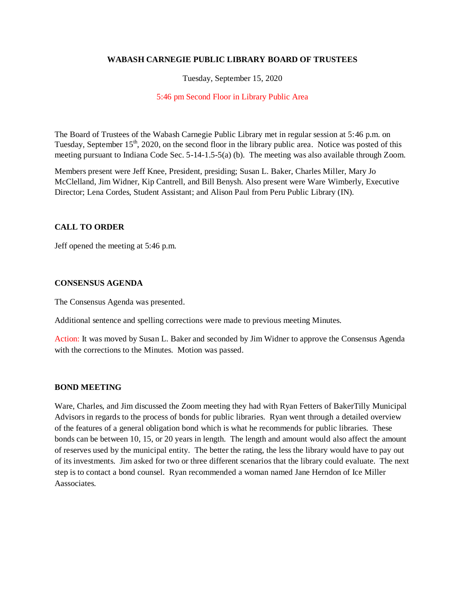### **WABASH CARNEGIE PUBLIC LIBRARY BOARD OF TRUSTEES**

### Tuesday, September 15, 2020

#### 5:46 pm Second Floor in Library Public Area

The Board of Trustees of the Wabash Carnegie Public Library met in regular session at 5:46 p.m. on Tuesday, September  $15<sup>th</sup>$ , 2020, on the second floor in the library public area. Notice was posted of this meeting pursuant to Indiana Code Sec. 5-14-1.5-5(a) (b). The meeting was also available through Zoom.

Members present were Jeff Knee, President, presiding; Susan L. Baker, Charles Miller, Mary Jo McClelland, Jim Widner, Kip Cantrell, and Bill Benysh. Also present were Ware Wimberly, Executive Director; Lena Cordes, Student Assistant; and Alison Paul from Peru Public Library (IN).

# **CALL TO ORDER**

Jeff opened the meeting at 5:46 p.m.

#### **CONSENSUS AGENDA**

The Consensus Agenda was presented.

Additional sentence and spelling corrections were made to previous meeting Minutes.

Action: It was moved by Susan L. Baker and seconded by Jim Widner to approve the Consensus Agenda with the corrections to the Minutes. Motion was passed.

### **BOND MEETING**

Ware, Charles, and Jim discussed the Zoom meeting they had with Ryan Fetters of BakerTilly Municipal Advisors in regards to the process of bonds for public libraries. Ryan went through a detailed overview of the features of a general obligation bond which is what he recommends for public libraries. These bonds can be between 10, 15, or 20 years in length. The length and amount would also affect the amount of reserves used by the municipal entity. The better the rating, the less the library would have to pay out of its investments. Jim asked for two or three different scenarios that the library could evaluate. The next step is to contact a bond counsel. Ryan recommended a woman named Jane Herndon of Ice Miller Aassociates.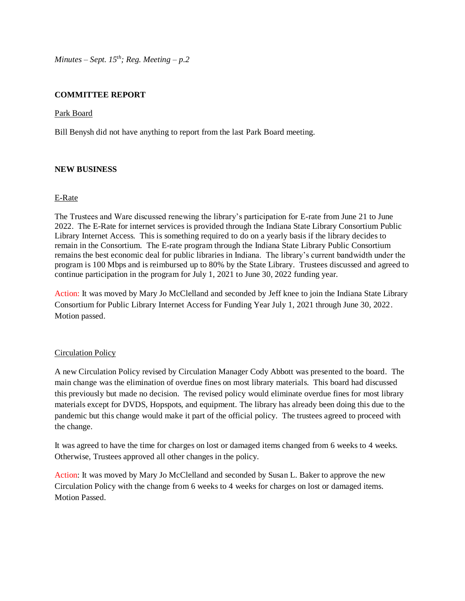*Minutes – Sept.*  $15^{th}$ *; Reg. Meeting – p.2* 

# **COMMITTEE REPORT**

### Park Board

Bill Benysh did not have anything to report from the last Park Board meeting.

# **NEW BUSINESS**

# E-Rate

The Trustees and Ware discussed renewing the library's participation for E-rate from June 21 to June 2022. The E-Rate for internet services is provided through the Indiana State Library Consortium Public Library Internet Access. This is something required to do on a yearly basis if the library decides to remain in the Consortium. The E-rate program through the Indiana State Library Public Consortium remains the best economic deal for public libraries in Indiana. The library's current bandwidth under the program is 100 Mbps and is reimbursed up to 80% by the State Library. Trustees discussed and agreed to continue participation in the program for July 1, 2021 to June 30, 2022 funding year.

Action: It was moved by Mary Jo McClelland and seconded by Jeff knee to join the Indiana State Library Consortium for Public Library Internet Access for Funding Year July 1, 2021 through June 30, 2022. Motion passed.

# Circulation Policy

A new Circulation Policy revised by Circulation Manager Cody Abbott was presented to the board. The main change was the elimination of overdue fines on most library materials. This board had discussed this previously but made no decision. The revised policy would eliminate overdue fines for most library materials except for DVDS, Hopspots, and equipment. The library has already been doing this due to the pandemic but this change would make it part of the official policy. The trustees agreed to proceed with the change.

It was agreed to have the time for charges on lost or damaged items changed from 6 weeks to 4 weeks. Otherwise, Trustees approved all other changes in the policy.

Action: It was moved by Mary Jo McClelland and seconded by Susan L. Baker to approve the new Circulation Policy with the change from 6 weeks to 4 weeks for charges on lost or damaged items. Motion Passed.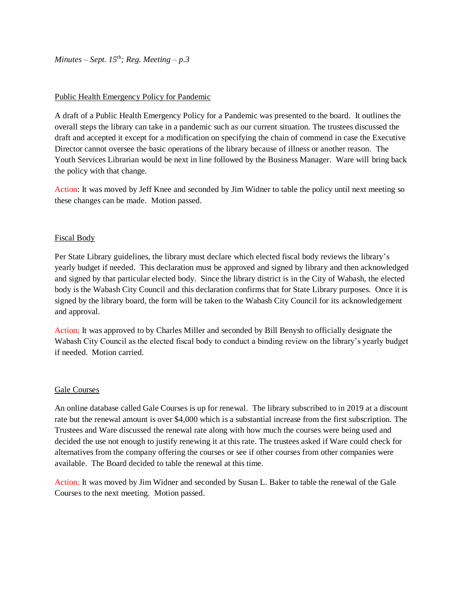*Minutes – Sept.*  $15^{th}$ *; Reg. Meeting – p.3* 

### Public Health Emergency Policy for Pandemic

A draft of a Public Health Emergency Policy for a Pandemic was presented to the board. It outlines the overall steps the library can take in a pandemic such as our current situation. The trustees discussed the draft and accepted it except for a modification on specifying the chain of commend in case the Executive Director cannot oversee the basic operations of the library because of illness or another reason. The Youth Services Librarian would be next in line followed by the Business Manager. Ware will bring back the policy with that change.

Action: It was moved by Jeff Knee and seconded by Jim Widner to table the policy until next meeting so these changes can be made. Motion passed.

# Fiscal Body

Per State Library guidelines, the library must declare which elected fiscal body reviews the library's yearly budget if needed. This declaration must be approved and signed by library and then acknowledged and signed by that particular elected body. Since the library district is in the City of Wabash, the elected body is the Wabash City Council and this declaration confirms that for State Library purposes. Once it is signed by the library board, the form will be taken to the Wabash City Council for its acknowledgement and approval.

Action: It was approved to by Charles Miller and seconded by Bill Benysh to officially designate the Wabash City Council as the elected fiscal body to conduct a binding review on the library's yearly budget if needed. Motion carried.

#### Gale Courses

An online database called Gale Courses is up for renewal. The library subscribed to in 2019 at a discount rate but the renewal amount is over \$4,000 which is a substantial increase from the first subscription. The Trustees and Ware discussed the renewal rate along with how much the courses were being used and decided the use not enough to justify renewing it at this rate. The trustees asked if Ware could check for alternatives from the company offering the courses or see if other courses from other companies were available. The Board decided to table the renewal at this time.

Action: It was moved by Jim Widner and seconded by Susan L. Baker to table the renewal of the Gale Courses to the next meeting. Motion passed.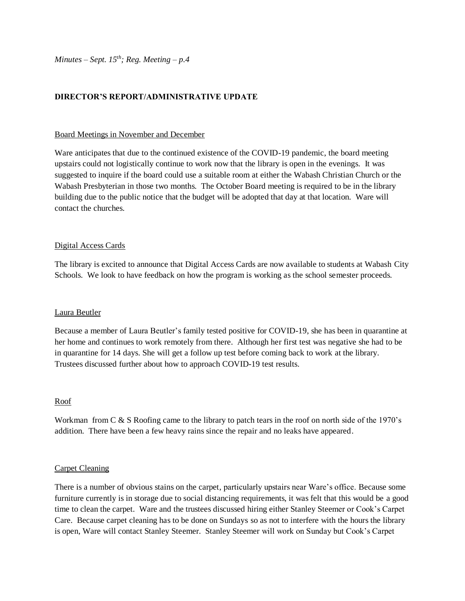# **DIRECTOR'S REPORT/ADMINISTRATIVE UPDATE**

#### Board Meetings in November and December

Ware anticipates that due to the continued existence of the COVID-19 pandemic, the board meeting upstairs could not logistically continue to work now that the library is open in the evenings. It was suggested to inquire if the board could use a suitable room at either the Wabash Christian Church or the Wabash Presbyterian in those two months. The October Board meeting is required to be in the library building due to the public notice that the budget will be adopted that day at that location. Ware will contact the churches.

#### Digital Access Cards

The library is excited to announce that Digital Access Cards are now available to students at Wabash City Schools. We look to have feedback on how the program is working as the school semester proceeds.

#### Laura Beutler

Because a member of Laura Beutler's family tested positive for COVID-19, she has been in quarantine at her home and continues to work remotely from there. Although her first test was negative she had to be in quarantine for 14 days. She will get a follow up test before coming back to work at the library. Trustees discussed further about how to approach COVID-19 test results.

#### Roof

Workman from C & S Roofing came to the library to patch tears in the roof on north side of the 1970's addition. There have been a few heavy rains since the repair and no leaks have appeared.

#### Carpet Cleaning

There is a number of obvious stains on the carpet, particularly upstairs near Ware's office. Because some furniture currently is in storage due to social distancing requirements, it was felt that this would be a good time to clean the carpet. Ware and the trustees discussed hiring either Stanley Steemer or Cook's Carpet Care. Because carpet cleaning has to be done on Sundays so as not to interfere with the hours the library is open, Ware will contact Stanley Steemer. Stanley Steemer will work on Sunday but Cook's Carpet